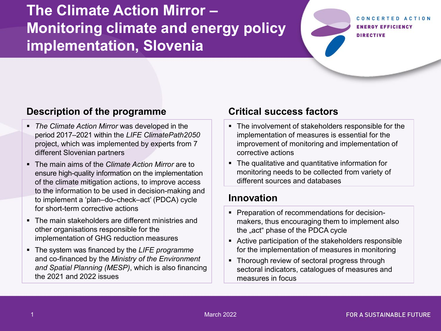## **The Climate Action Mirror – Monitoring climate and energy policy implementation, Slovenia**

#### CONCERTED ACTION **ENERGY EFFICIENCY DIRECTIVE**

### **Description of the programme**

- *The Climate Action Mirror* was developed in the period 2017–2021 within the *LIFE ClimatePath2050* project, which was implemented by experts from 7 different Slovenian partners
- The main aims of the *Climate Action Mirror* are to ensure high-quality information on the implementation of the climate mitigation actions, to improve access to the information to be used in decision-making and to implement a 'plan–do–check–act' (PDCA) cycle for short-term corrective actions
- The main stakeholders are different ministries and other organisations responsible for the implementation of GHG reduction measures
- The system was financed by the *LIFE programme* and co-financed by the *Ministry of the Environment and Spatial Planning (MESP)*, which is also financing the 2021 and 2022 issues

#### **Critical success factors**

- The involvement of stakeholders responsible for the implementation of measures is essential for the improvement of monitoring and implementation of corrective actions
- The qualitative and quantitative information for monitoring needs to be collected from variety of different sources and databases

#### **Innovation**

- **Preparation of recommendations for decision**makers, thus encouraging them to implement also the "act" phase of the PDCA cycle
- Active participation of the stakeholders responsible for the implementation of measures in monitoring
- Thorough review of sectoral progress through sectoral indicators, catalogues of measures and measures in focus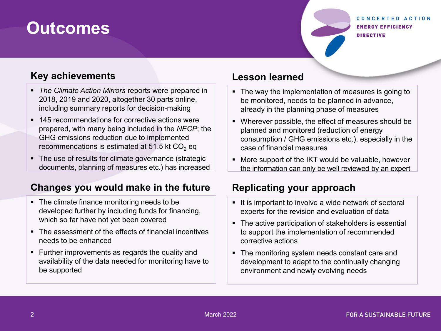## **Outcomes**

#### CONCERTED ACTION **ENERGY EFFICIENCY DIRECTIVE**

#### **Key achievements**

- *The Climate Action Mirrors* reports were prepared in 2018, 2019 and 2020, altogether 30 parts online, including summary reports for decision-making
- 145 recommendations for corrective actions were prepared, with many being included in the *NECP*; the GHG emissions reduction due to implemented recommendations is estimated at  $51.5$  kt  $CO<sub>2</sub>$  eq
- The use of results for climate governance (strategic documents, planning of measures etc.) has increased

## **Changes you would make in the future**

- The climate finance monitoring needs to be developed further by including funds for financing, which so far have not yet been covered
- The assessment of the effects of financial incentives needs to be enhanced
- Further improvements as regards the quality and availability of the data needed for monitoring have to be supported

#### **Lesson learned**

- The way the implementation of measures is going to be monitored, needs to be planned in advance, already in the planning phase of measures
- Wherever possible, the effect of measures should be planned and monitored (reduction of energy consumption / GHG emissions etc.), especially in the case of financial measures
- More support of the IKT would be valuable, however the information can only be well reviewed by an expert

## **Replicating your approach**

- It is important to involve a wide network of sectoral experts for the revision and evaluation of data
- **The active participation of stakeholders is essential** to support the implementation of recommended corrective actions
- The monitoring system needs constant care and development to adapt to the continually changing environment and newly evolving needs